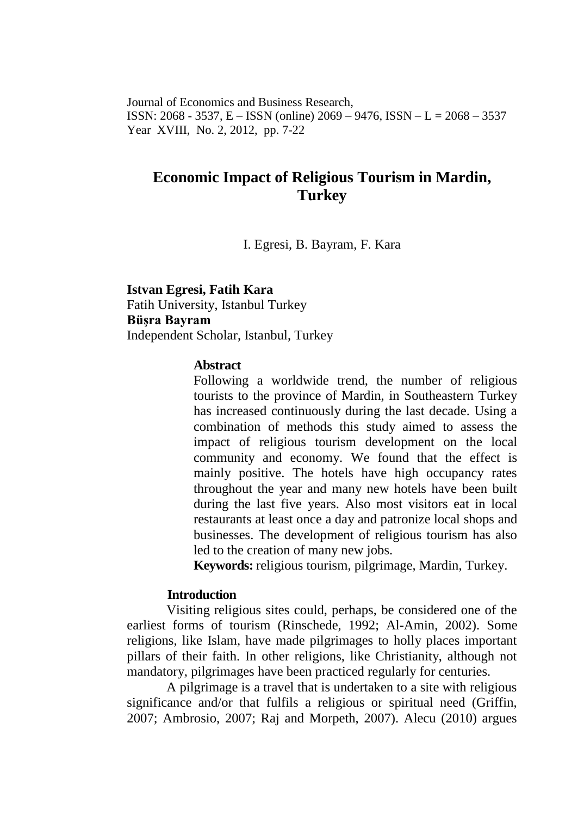Journal of Economics and Business Research, ISSN: 2068 - 3537, E – ISSN (online) 2069 – 9476, ISSN – L = 2068 – 3537 Year XVIII, No. 2, 2012, pp. 7-22

# **Economic Impact of Religious Tourism in Mardin, Turkey**

I. Egresi, B. Bayram, F. Kara

**Istvan Egresi, Fatih Kara** Fatih University, Istanbul Turkey **Büşra Bayram** Independent Scholar, Istanbul, Turkey

#### **Abstract**

Following a worldwide trend, the number of religious tourists to the province of Mardin, in Southeastern Turkey has increased continuously during the last decade. Using a combination of methods this study aimed to assess the impact of religious tourism development on the local community and economy. We found that the effect is mainly positive. The hotels have high occupancy rates throughout the year and many new hotels have been built during the last five years. Also most visitors eat in local restaurants at least once a day and patronize local shops and businesses. The development of religious tourism has also led to the creation of many new jobs.

**Keywords:** religious tourism, pilgrimage, Mardin, Turkey.

### **Introduction**

Visiting religious sites could, perhaps, be considered one of the earliest forms of tourism (Rinschede, 1992; Al-Amin, 2002). Some religions, like Islam, have made pilgrimages to holly places important pillars of their faith. In other religions, like Christianity, although not mandatory, pilgrimages have been practiced regularly for centuries.

A pilgrimage is a travel that is undertaken to a site with religious significance and/or that fulfils a religious or spiritual need (Griffin, 2007; Ambrosio, 2007; Raj and Morpeth, 2007). Alecu (2010) argues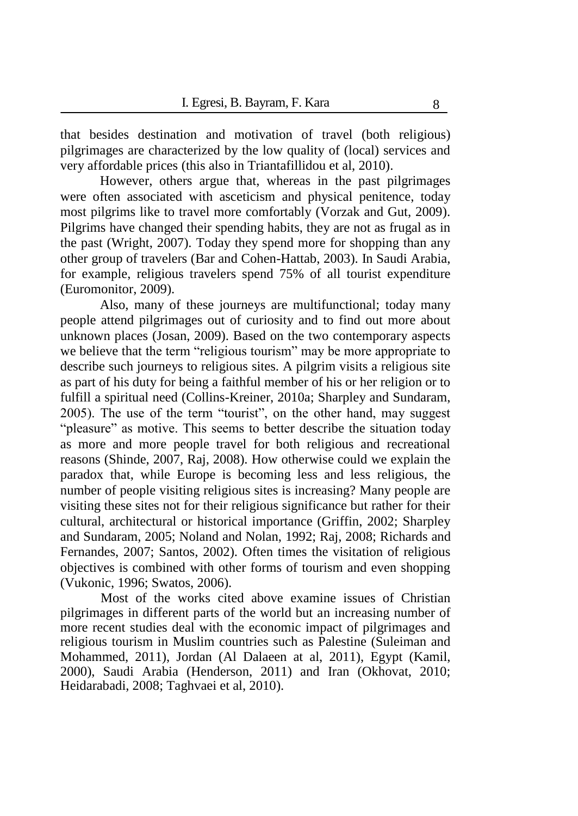that besides destination and motivation of travel (both religious) pilgrimages are characterized by the low quality of (local) services and very affordable prices (this also in Triantafillidou et al, 2010).

However, others argue that, whereas in the past pilgrimages were often associated with asceticism and physical penitence, today most pilgrims like to travel more comfortably (Vorzak and Gut, 2009). Pilgrims have changed their spending habits, they are not as frugal as in the past (Wright, 2007). Today they spend more for shopping than any other group of travelers (Bar and Cohen-Hattab, 2003). In Saudi Arabia, for example, religious travelers spend 75% of all tourist expenditure (Euromonitor, 2009).

Also, many of these journeys are multifunctional; today many people attend pilgrimages out of curiosity and to find out more about unknown places (Josan, 2009). Based on the two contemporary aspects we believe that the term "religious tourism" may be more appropriate to describe such journeys to religious sites. A pilgrim visits a religious site as part of his duty for being a faithful member of his or her religion or to fulfill a spiritual need (Collins-Kreiner, 2010a; Sharpley and Sundaram, 2005). The use of the term "tourist", on the other hand, may suggest "pleasure" as motive. This seems to better describe the situation today as more and more people travel for both religious and recreational reasons (Shinde, 2007, Raj, 2008). How otherwise could we explain the paradox that, while Europe is becoming less and less religious, the number of people visiting religious sites is increasing? Many people are visiting these sites not for their religious significance but rather for their cultural, architectural or historical importance (Griffin, 2002; Sharpley and Sundaram, 2005; Noland and Nolan, 1992; Raj, 2008; Richards and Fernandes, 2007; Santos, 2002). Often times the visitation of religious objectives is combined with other forms of tourism and even shopping (Vukonic, 1996; Swatos, 2006).

Most of the works cited above examine issues of Christian pilgrimages in different parts of the world but an increasing number of more recent studies deal with the economic impact of pilgrimages and religious tourism in Muslim countries such as Palestine (Suleiman and Mohammed, 2011), Jordan (Al Dalaeen at al, 2011), Egypt (Kamil, 2000), Saudi Arabia (Henderson, 2011) and Iran (Okhovat, 2010; Heidarabadi, 2008; Taghvaei et al, 2010).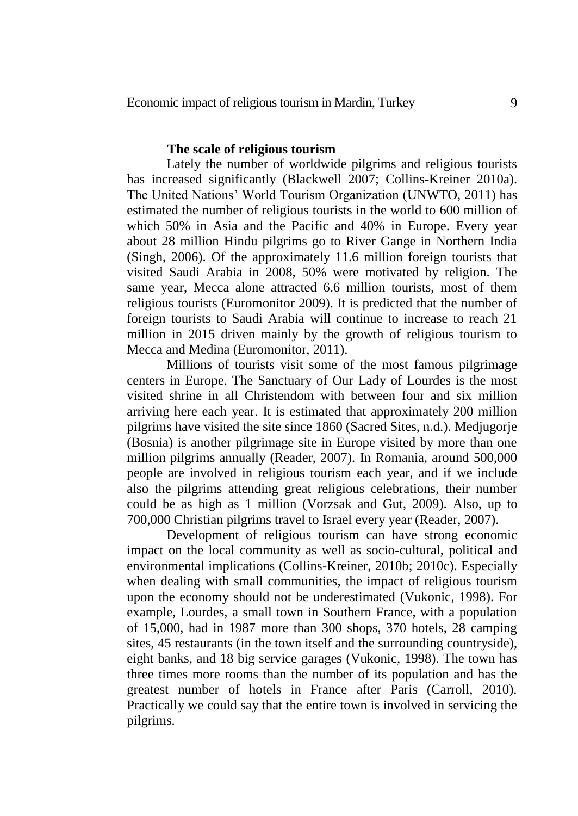### **The scale of religious tourism**

Lately the number of worldwide pilgrims and religious tourists has increased significantly (Blackwell 2007; Collins-Kreiner 2010a). The United Nations' World Tourism Organization (UNWTO, 2011) has estimated the number of religious tourists in the world to 600 million of which 50% in Asia and the Pacific and 40% in Europe. Every year about 28 million Hindu pilgrims go to River Gange in Northern India (Singh, 2006). Of the approximately 11.6 million foreign tourists that visited Saudi Arabia in 2008, 50% were motivated by religion. The same year, Mecca alone attracted 6.6 million tourists, most of them religious tourists (Euromonitor 2009). It is predicted that the number of foreign tourists to Saudi Arabia will continue to increase to reach 21 million in 2015 driven mainly by the growth of religious tourism to Mecca and Medina (Euromonitor, 2011).

Millions of tourists visit some of the most famous pilgrimage centers in Europe. The Sanctuary of Our Lady of Lourdes is the most visited shrine in all Christendom with between four and six million arriving here each year. It is estimated that approximately 200 million pilgrims have visited the site since 1860 (Sacred Sites, n.d.). Medjugorje (Bosnia) is another pilgrimage site in Europe visited by more than one million pilgrims annually (Reader, 2007). In Romania, around 500,000 people are involved in religious tourism each year, and if we include also the pilgrims attending great religious celebrations, their number could be as high as 1 million (Vorzsak and Gut, 2009). Also, up to 700,000 Christian pilgrims travel to Israel every year (Reader, 2007).

Development of religious tourism can have strong economic impact on the local community as well as socio-cultural, political and environmental implications (Collins-Kreiner, 2010b; 2010c). Especially when dealing with small communities, the impact of religious tourism upon the economy should not be underestimated (Vukonic, 1998). For example, Lourdes, a small town in Southern France, with a population of 15,000, had in 1987 more than 300 shops, 370 hotels, 28 camping sites, 45 restaurants (in the town itself and the surrounding countryside), eight banks, and 18 big service garages (Vukonic, 1998). The town has three times more rooms than the number of its population and has the greatest number of hotels in France after Paris (Carroll, 2010). Practically we could say that the entire town is involved in servicing the pilgrims.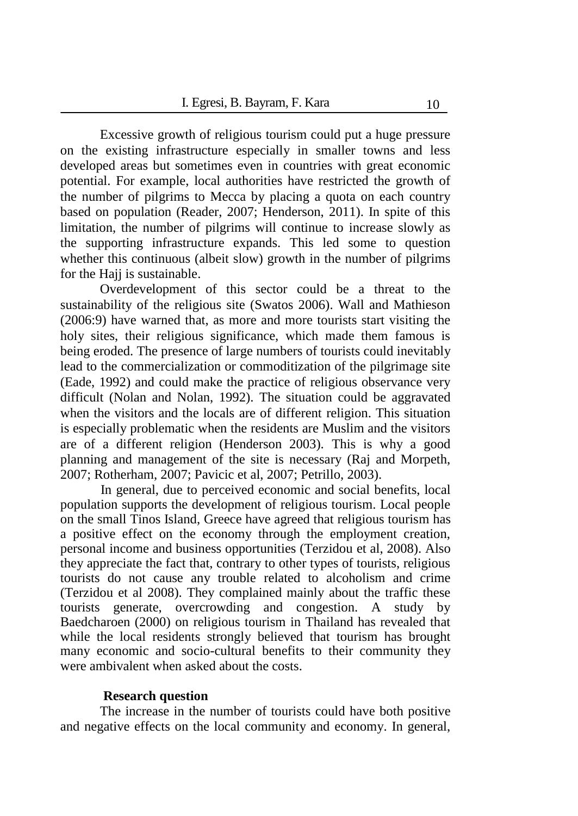Excessive growth of religious tourism could put a huge pressure on the existing infrastructure especially in smaller towns and less developed areas but sometimes even in countries with great economic potential. For example, local authorities have restricted the growth of the number of pilgrims to Mecca by placing a quota on each country based on population (Reader, 2007; Henderson, 2011). In spite of this limitation, the number of pilgrims will continue to increase slowly as the supporting infrastructure expands. This led some to question whether this continuous (albeit slow) growth in the number of pilgrims for the Hajj is sustainable.

Overdevelopment of this sector could be a threat to the sustainability of the religious site (Swatos 2006). Wall and Mathieson (2006:9) have warned that, as more and more tourists start visiting the holy sites, their religious significance, which made them famous is being eroded. The presence of large numbers of tourists could inevitably lead to the commercialization or commoditization of the pilgrimage site (Eade, 1992) and could make the practice of religious observance very difficult (Nolan and Nolan, 1992). The situation could be aggravated when the visitors and the locals are of different religion. This situation is especially problematic when the residents are Muslim and the visitors are of a different religion (Henderson 2003). This is why a good planning and management of the site is necessary (Raj and Morpeth, 2007; Rotherham, 2007; Pavicic et al, 2007; Petrillo, 2003).

In general, due to perceived economic and social benefits, local population supports the development of religious tourism. Local people on the small Tinos Island, Greece have agreed that religious tourism has a positive effect on the economy through the employment creation, personal income and business opportunities (Terzidou et al, 2008). Also they appreciate the fact that, contrary to other types of tourists, religious tourists do not cause any trouble related to alcoholism and crime (Terzidou et al 2008). They complained mainly about the traffic these tourists generate, overcrowding and congestion. A study by Baedcharoen (2000) on religious tourism in Thailand has revealed that while the local residents strongly believed that tourism has brought many economic and socio-cultural benefits to their community they were ambivalent when asked about the costs.

#### **Research question**

The increase in the number of tourists could have both positive and negative effects on the local community and economy. In general,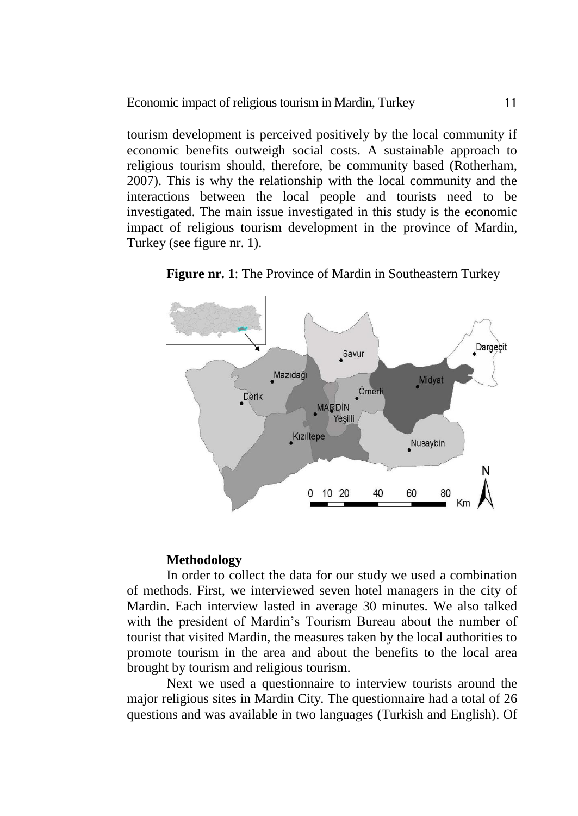tourism development is perceived positively by the local community if economic benefits outweigh social costs. A sustainable approach to religious tourism should, therefore, be community based (Rotherham, 2007). This is why the relationship with the local community and the interactions between the local people and tourists need to be investigated. The main issue investigated in this study is the economic impact of religious tourism development in the province of Mardin, Turkey (see figure nr. 1).



**Figure nr. 1**: The Province of Mardin in Southeastern Turkey

## **Methodology**

In order to collect the data for our study we used a combination of methods. First, we interviewed seven hotel managers in the city of Mardin. Each interview lasted in average 30 minutes. We also talked with the president of Mardin's Tourism Bureau about the number of tourist that visited Mardin, the measures taken by the local authorities to promote tourism in the area and about the benefits to the local area brought by tourism and religious tourism.

Next we used a questionnaire to interview tourists around the major religious sites in Mardin City. The questionnaire had a total of 26 questions and was available in two languages (Turkish and English). Of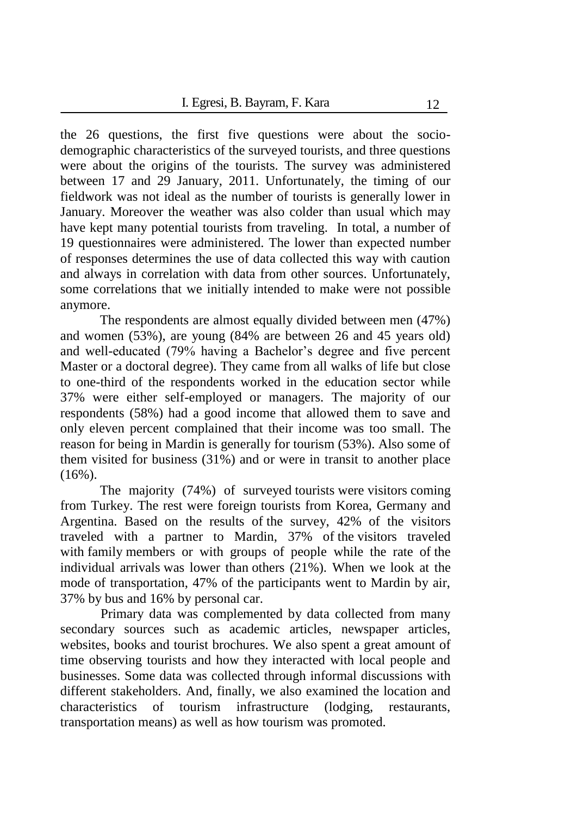the 26 questions, the first five questions were about the sociodemographic characteristics of the surveyed tourists, and three questions were about the origins of the tourists. The survey was administered between 17 and 29 January, 2011. Unfortunately, the timing of our fieldwork was not ideal as the number of tourists is generally lower in January. Moreover the weather was also colder than usual which may have kept many potential tourists from traveling. In total, a number of 19 questionnaires were administered. The lower than expected number of responses determines the use of data collected this way with caution and always in correlation with data from other sources. Unfortunately, some correlations that we initially intended to make were not possible anymore.

The respondents are almost equally divided between men (47%) and women (53%), are young (84% are between 26 and 45 years old) and well-educated (79% having a Bachelor's degree and five percent Master or a doctoral degree). They came from all walks of life but close to one-third of the respondents worked in the education sector while 37% were either self-employed or managers. The majority of our respondents (58%) had a good income that allowed them to save and only eleven percent complained that their income was too small. The reason for being in Mardin is generally for tourism (53%). Also some of them visited for business (31%) and or were in transit to another place  $(16\%)$ .

The majority (74%) of surveyed tourists were visitors coming from Turkey. The rest were foreign tourists from Korea, Germany and Argentina. Based on the results of the survey, 42% of the visitors traveled with a partner to Mardin, 37% of the visitors traveled with family members or with groups of people while the rate of the individual arrivals was lower than others (21%). When we look at the mode of transportation, 47% of the participants went to Mardin by air, 37% by bus and 16% by personal car.

Primary data was complemented by data collected from many secondary sources such as academic articles, newspaper articles, websites, books and tourist brochures. We also spent a great amount of time observing tourists and how they interacted with local people and businesses. Some data was collected through informal discussions with different stakeholders. And, finally, we also examined the location and characteristics of tourism infrastructure (lodging, restaurants, transportation means) as well as how tourism was promoted.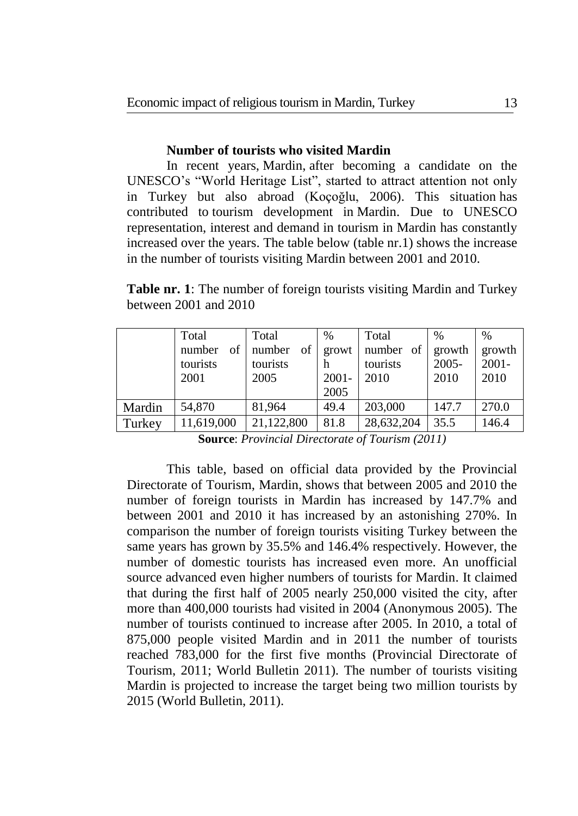## **Number of tourists who visited Mardin**

In recent years, Mardin, after becoming a candidate on the UNESCO's "World Heritage List", started to attract attention not only in Turkey but also abroad (Koçoğlu, 2006). This situation has contributed to tourism development in Mardin. Due to UNESCO representation, interest and demand in tourism in Mardin has constantly increased over the years. The table below (table nr.1) shows the increase in the number of tourists visiting Mardin between 2001 and 2010.

**Table nr. 1**: The number of foreign tourists visiting Mardin and Turkey between 2001 and 2010

|        | Total                     | Total        | $\frac{0}{0}$ | Total           | $\%$     | $\frac{0}{0}$ |
|--------|---------------------------|--------------|---------------|-----------------|----------|---------------|
|        | of <sub>1</sub><br>number | of<br>number |               | growt number of | growth   | growth        |
|        | tourists                  | tourists     | h             | tourists        | $2005 -$ | $2001 -$      |
|        | 2001                      | 2005         | $2001 -$      | 2010            | 2010     | 2010          |
|        |                           |              | 2005          |                 |          |               |
| Mardin | 54,870                    | 81,964       | 49.4          | 203,000         | 147.7    | 270.0         |
| Turkey | 11,619,000                | 21,122,800   | 81.8          | 28,632,204      | 35.5     | 146.4         |
|        |                           |              |               |                 |          |               |

**Source**: *Provincial Directorate of Tourism (2011)*

This table, based on official data provided by the Provincial Directorate of Tourism, Mardin, shows that between 2005 and 2010 the number of foreign tourists in Mardin has increased by 147.7% and between 2001 and 2010 it has increased by an astonishing 270%. In comparison the number of foreign tourists visiting Turkey between the same years has grown by 35.5% and 146.4% respectively. However, the number of domestic tourists has increased even more. An unofficial source advanced even higher numbers of tourists for Mardin. It claimed that during the first half of 2005 nearly 250,000 visited the city, after more than 400,000 tourists had visited in 2004 (Anonymous 2005). The number of tourists continued to increase after 2005. In 2010, a total of 875,000 people visited Mardin and in 2011 the number of tourists reached 783,000 for the first five months (Provincial Directorate of Tourism, 2011; World Bulletin 2011). The number of tourists visiting Mardin is projected to increase the target being two million tourists by 2015 (World Bulletin, 2011).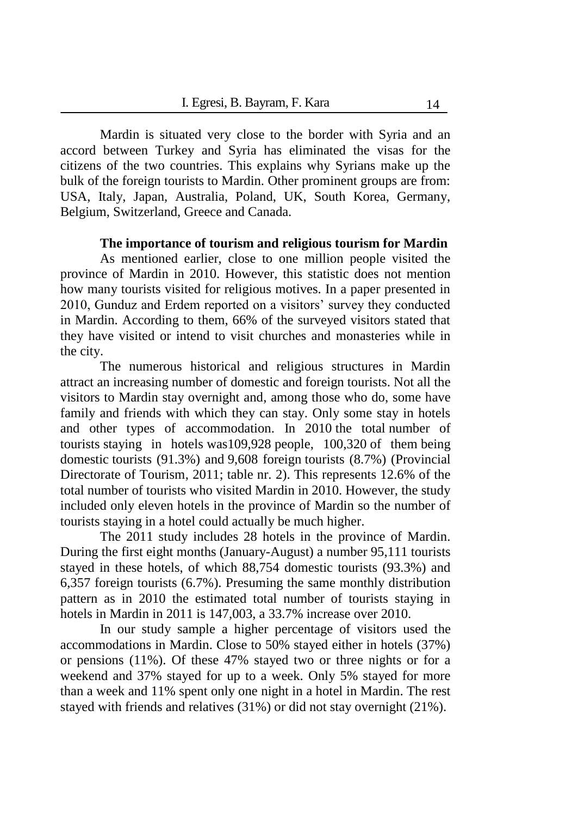Mardin is situated very close to the border with Syria and an accord between Turkey and Syria has eliminated the visas for the citizens of the two countries. This explains why Syrians make up the bulk of the foreign tourists to Mardin. Other prominent groups are from: USA, Italy, Japan, Australia, Poland, UK, South Korea, Germany, Belgium, Switzerland, Greece and Canada.

#### **The importance of tourism and religious tourism for Mardin**

As mentioned earlier, close to one million people visited the province of Mardin in 2010. However, this statistic does not mention how many tourists visited for religious motives. In a paper presented in 2010, Gunduz and Erdem reported on a visitors' survey they conducted in Mardin. According to them, 66% of the surveyed visitors stated that they have visited or intend to visit churches and monasteries while in the city.

The numerous historical and religious structures in Mardin attract an increasing number of domestic and foreign tourists. Not all the visitors to Mardin stay overnight and, among those who do, some have family and friends with which they can stay. Only some stay in hotels and other types of accommodation. In 2010 the total number of tourists staying in hotels was109,928 people, 100,320 of them being domestic tourists (91.3%) and 9,608 foreign tourists (8.7%) (Provincial Directorate of Tourism, 2011; table nr. 2). This represents 12.6% of the total number of tourists who visited Mardin in 2010. However, the study included only eleven hotels in the province of Mardin so the number of tourists staying in a hotel could actually be much higher.

The 2011 study includes 28 hotels in the province of Mardin. During the first eight months (January-August) a number 95,111 tourists stayed in these hotels, of which 88,754 domestic tourists (93.3%) and 6,357 foreign tourists (6.7%). Presuming the same monthly distribution pattern as in 2010 the estimated total number of tourists staying in hotels in Mardin in 2011 is 147,003, a 33.7% increase over 2010.

In our study sample a higher percentage of visitors used the accommodations in Mardin. Close to 50% stayed either in hotels (37%) or pensions (11%). Of these 47% stayed two or three nights or for a weekend and 37% stayed for up to a week. Only 5% stayed for more than a week and 11% spent only one night in a hotel in Mardin. The rest stayed with friends and relatives (31%) or did not stay overnight (21%).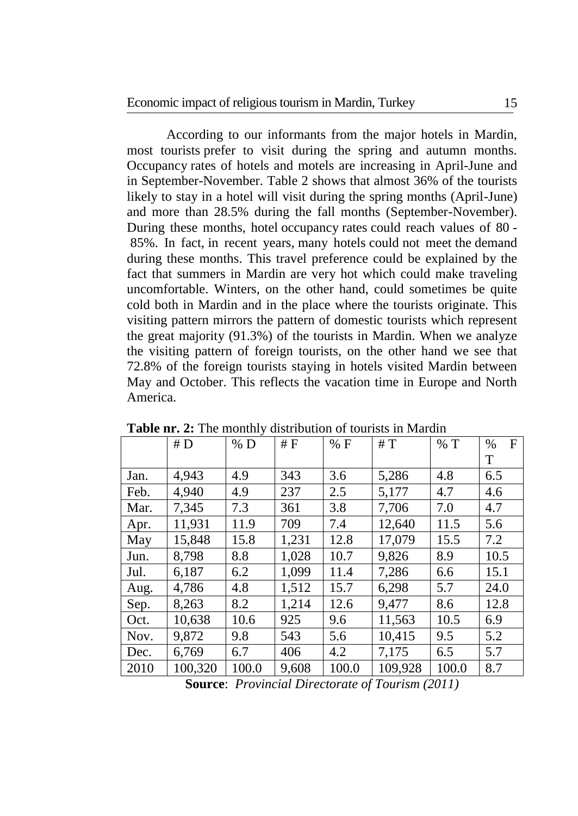According to our informants from the major hotels in Mardin, most tourists prefer to visit during the spring and autumn months. Occupancy rates of hotels and motels are increasing in April-June and in September-November. Table 2 shows that almost 36% of the tourists likely to stay in a hotel will visit during the spring months (April-June) and more than 28.5% during the fall months (September-November). During these months, hotel occupancy rates could reach values of 80 - 85%. In fact, in recent years, many hotels could not meet the demand during these months. This travel preference could be explained by the fact that summers in Mardin are very hot which could make traveling uncomfortable. Winters, on the other hand, could sometimes be quite cold both in Mardin and in the place where the tourists originate. This visiting pattern mirrors the pattern of domestic tourists which represent the great majority (91.3%) of the tourists in Mardin. When we analyze the visiting pattern of foreign tourists, on the other hand we see that 72.8% of the foreign tourists staying in hotels visited Mardin between May and October. This reflects the vacation time in Europe and North America.

|      | #D      | % D   | #F    | % F   | #T      | % T   | F<br>$\%$ |
|------|---------|-------|-------|-------|---------|-------|-----------|
|      |         |       |       |       |         |       | T         |
| Jan. | 4,943   | 4.9   | 343   | 3.6   | 5,286   | 4.8   | 6.5       |
| Feb. | 4,940   | 4.9   | 237   | 2.5   | 5,177   | 4.7   | 4.6       |
| Mar. | 7,345   | 7.3   | 361   | 3.8   | 7,706   | 7.0   | 4.7       |
| Apr. | 11,931  | 11.9  | 709   | 7.4   | 12,640  | 11.5  | 5.6       |
| May  | 15,848  | 15.8  | 1,231 | 12.8  | 17,079  | 15.5  | 7.2       |
| Jun. | 8,798   | 8.8   | 1,028 | 10.7  | 9,826   | 8.9   | 10.5      |
| Jul. | 6,187   | 6.2   | 1,099 | 11.4  | 7,286   | 6.6   | 15.1      |
| Aug. | 4,786   | 4.8   | 1,512 | 15.7  | 6,298   | 5.7   | 24.0      |
| Sep. | 8,263   | 8.2   | 1,214 | 12.6  | 9,477   | 8.6   | 12.8      |
| Oct. | 10,638  | 10.6  | 925   | 9.6   | 11,563  | 10.5  | 6.9       |
| Nov. | 9,872   | 9.8   | 543   | 5.6   | 10,415  | 9.5   | 5.2       |
| Dec. | 6,769   | 6.7   | 406   | 4.2   | 7,175   | 6.5   | 5.7       |
| 2010 | 100,320 | 100.0 | 9,608 | 100.0 | 109,928 | 100.0 | 8.7       |

**Table nr. 2:** The monthly distribution of tourists in Mardin

**Source**: *Provincial Directorate of Tourism (2011)*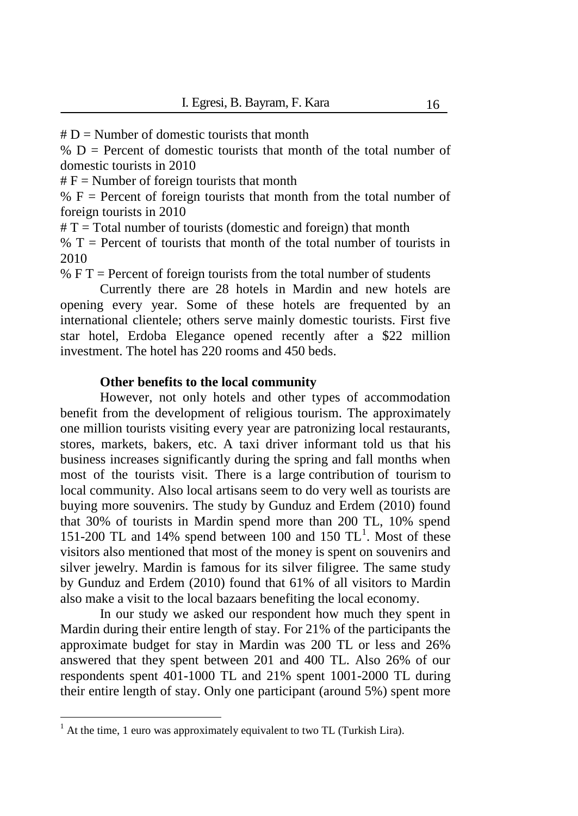$# D =$  Number of domestic tourists that month

 $% D =$  Percent of domestic tourists that month of the total number of domestic tourists in 2010

 $# F =$  Number of foreign tourists that month

 $% F =$  Percent of foreign tourists that month from the total number of foreign tourists in 2010

 $# T = Total number of tourists (domestic and foreign) that month$ 

 $% T =$  Percent of tourists that month of the total number of tourists in 2010

%  $F T =$  Percent of foreign tourists from the total number of students

Currently there are 28 hotels in Mardin and new hotels are opening every year. Some of these hotels are frequented by an international clientele; others serve mainly domestic tourists. First five star hotel, Erdoba Elegance opened recently after a \$22 million investment. The hotel has 220 rooms and 450 beds.

#### **Other benefits to the local community**

However, not only hotels and other types of accommodation benefit from the development of religious tourism. The approximately one million tourists visiting every year are patronizing local restaurants, stores, markets, bakers, etc. A taxi driver informant told us that his business increases significantly during the spring and fall months when most of the tourists visit. There is a large contribution of tourism to local community. Also local artisans seem to do very well as tourists are buying more souvenirs. The study by Gunduz and Erdem (2010) found that 30% of tourists in Mardin spend more than 200 TL, 10% spend 151-200 TL and 14% spend between 100 and 150  $TL<sup>1</sup>$ . Most of these visitors also mentioned that most of the money is spent on souvenirs and silver jewelry. Mardin is famous for its silver filigree. The same study by Gunduz and Erdem (2010) found that 61% of all visitors to Mardin also make a visit to the local bazaars benefiting the local economy.

In our study we asked our respondent how much they spent in Mardin during their entire length of stay. For 21% of the participants the approximate budget for stay in Mardin was 200 TL or less and 26% answered that they spent between 201 and 400 TL. Also 26% of our respondents spent 401-1000 TL and 21% spent 1001-2000 TL during their entire length of stay. Only one participant (around 5%) spent more

 $\overline{a}$ 

 $1$  At the time, 1 euro was approximately equivalent to two TL (Turkish Lira).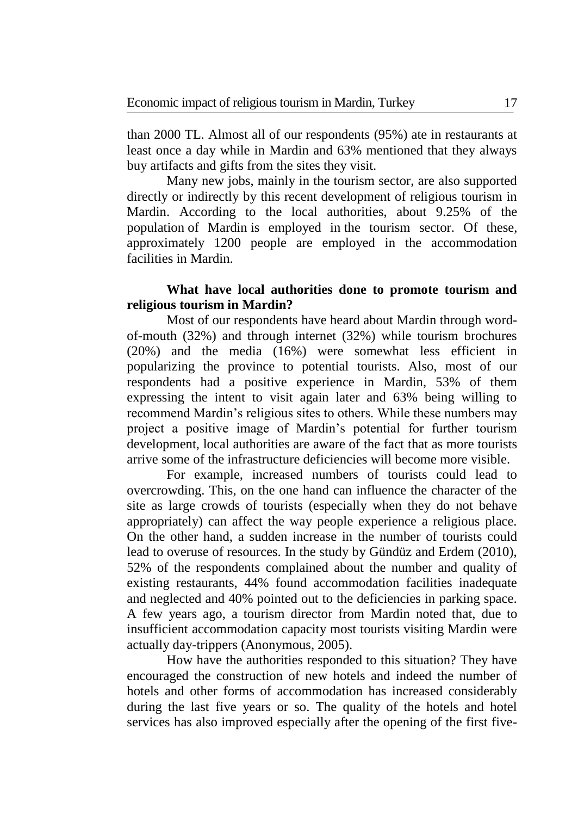than 2000 TL. Almost all of our respondents (95%) ate in restaurants at least once a day while in Mardin and 63% mentioned that they always buy artifacts and gifts from the sites they visit.

Many new jobs, mainly in the tourism sector, are also supported directly or indirectly by this recent development of religious tourism in Mardin. According to the local authorities, about 9.25% of the population of Mardin is employed in the tourism sector. Of these, approximately 1200 people are employed in the accommodation facilities in Mardin.

## **What have local authorities done to promote tourism and religious tourism in Mardin?**

Most of our respondents have heard about Mardin through wordof-mouth (32%) and through internet (32%) while tourism brochures (20%) and the media (16%) were somewhat less efficient in popularizing the province to potential tourists. Also, most of our respondents had a positive experience in Mardin, 53% of them expressing the intent to visit again later and 63% being willing to recommend Mardin's religious sites to others. While these numbers may project a positive image of Mardin's potential for further tourism development, local authorities are aware of the fact that as more tourists arrive some of the infrastructure deficiencies will become more visible.

For example, increased numbers of tourists could lead to overcrowding. This, on the one hand can influence the character of the site as large crowds of tourists (especially when they do not behave appropriately) can affect the way people experience a religious place. On the other hand, a sudden increase in the number of tourists could lead to overuse of resources. In the study by Gündüz and Erdem (2010), 52% of the respondents complained about the number and quality of existing restaurants, 44% found accommodation facilities inadequate and neglected and 40% pointed out to the deficiencies in parking space. A few years ago, a tourism director from Mardin noted that, due to insufficient accommodation capacity most tourists visiting Mardin were actually day-trippers (Anonymous, 2005).

How have the authorities responded to this situation? They have encouraged the construction of new hotels and indeed the number of hotels and other forms of accommodation has increased considerably during the last five years or so. The quality of the hotels and hotel services has also improved especially after the opening of the first five-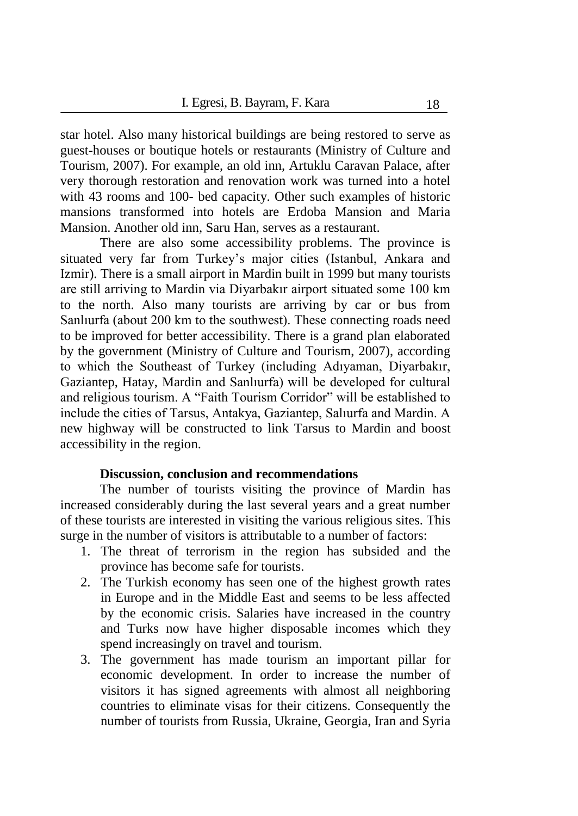star hotel. Also many historical buildings are being restored to serve as guest-houses or boutique hotels or restaurants (Ministry of Culture and Tourism, 2007). For example, an old inn, Artuklu Caravan Palace, after very thorough restoration and renovation work was turned into a hotel with 43 rooms and 100- bed capacity. Other such examples of historic mansions transformed into hotels are Erdoba Mansion and Maria Mansion. Another old inn, Saru Han, serves as a restaurant.

There are also some accessibility problems. The province is situated very far from Turkey's major cities (Istanbul, Ankara and Izmir). There is a small airport in Mardin built in 1999 but many tourists are still arriving to Mardin via Diyarbakır airport situated some 100 km to the north. Also many tourists are arriving by car or bus from Sanlıurfa (about 200 km to the southwest). These connecting roads need to be improved for better accessibility. There is a grand plan elaborated by the government (Ministry of Culture and Tourism, 2007), according to which the Southeast of Turkey (including Adıyaman, Diyarbakır, Gaziantep, Hatay, Mardin and Sanlıurfa) will be developed for cultural and religious tourism. A "Faith Tourism Corridor" will be established to include the cities of Tarsus, Antakya, Gaziantep, Salıurfa and Mardin. A new highway will be constructed to link Tarsus to Mardin and boost accessibility in the region.

## **Discussion, conclusion and recommendations**

The number of tourists visiting the province of Mardin has increased considerably during the last several years and a great number of these tourists are interested in visiting the various religious sites. This surge in the number of visitors is attributable to a number of factors:

- 1. The threat of terrorism in the region has subsided and the province has become safe for tourists.
- 2. The Turkish economy has seen one of the highest growth rates in Europe and in the Middle East and seems to be less affected by the economic crisis. Salaries have increased in the country and Turks now have higher disposable incomes which they spend increasingly on travel and tourism.
- 3. The government has made tourism an important pillar for economic development. In order to increase the number of visitors it has signed agreements with almost all neighboring countries to eliminate visas for their citizens. Consequently the number of tourists from Russia, Ukraine, Georgia, Iran and Syria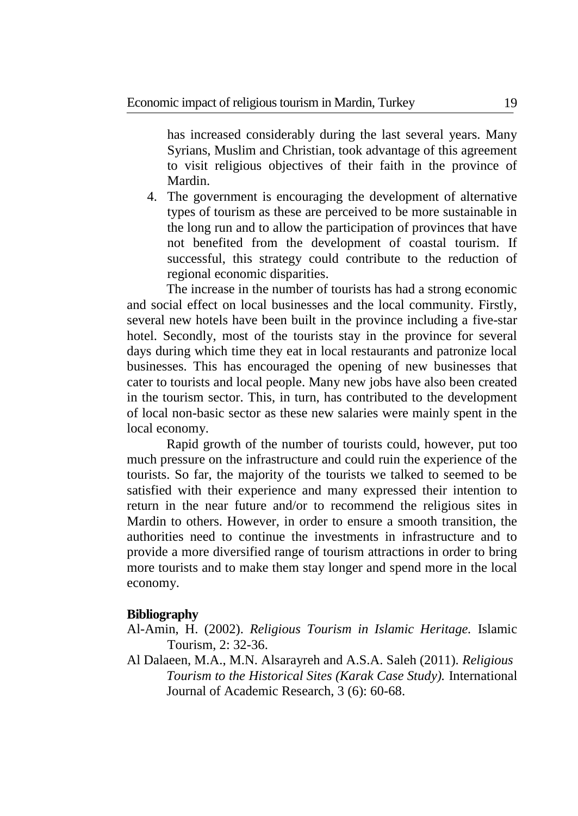has increased considerably during the last several years. Many Syrians, Muslim and Christian, took advantage of this agreement to visit religious objectives of their faith in the province of Mardin.

4. The government is encouraging the development of alternative types of tourism as these are perceived to be more sustainable in the long run and to allow the participation of provinces that have not benefited from the development of coastal tourism. If successful, this strategy could contribute to the reduction of regional economic disparities.

The increase in the number of tourists has had a strong economic and social effect on local businesses and the local community. Firstly, several new hotels have been built in the province including a five-star hotel. Secondly, most of the tourists stay in the province for several days during which time they eat in local restaurants and patronize local businesses. This has encouraged the opening of new businesses that cater to tourists and local people. Many new jobs have also been created in the tourism sector. This, in turn, has contributed to the development of local non-basic sector as these new salaries were mainly spent in the local economy.

Rapid growth of the number of tourists could, however, put too much pressure on the infrastructure and could ruin the experience of the tourists. So far, the majority of the tourists we talked to seemed to be satisfied with their experience and many expressed their intention to return in the near future and/or to recommend the religious sites in Mardin to others. However, in order to ensure a smooth transition, the authorities need to continue the investments in infrastructure and to provide a more diversified range of tourism attractions in order to bring more tourists and to make them stay longer and spend more in the local economy.

### **Bibliography**

- Al-Amin, H. (2002). *Religious Tourism in Islamic Heritage.* Islamic Tourism, 2: 32-36.
- Al Dalaeen, M.A., M.N. Alsarayreh and A.S.A. Saleh (2011). *Religious Tourism to the Historical Sites (Karak Case Study).* International Journal of Academic Research, 3 (6): 60-68.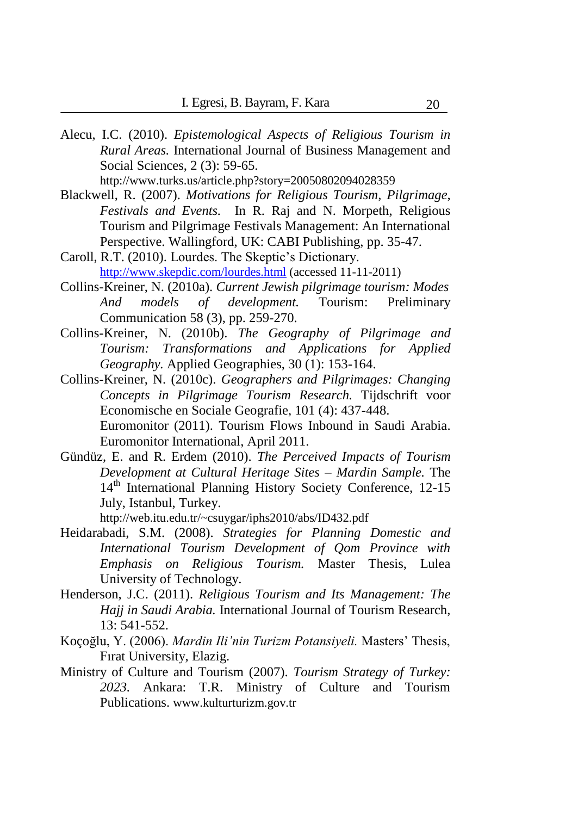Alecu, I.C. (2010). *Epistemological Aspects of Religious Tourism in Rural Areas.* International Journal of Business Management and Social Sciences, 2 (3): 59-65.

http://www.turks.us/article.php?story=20050802094028359

- Blackwell, R. (2007). *Motivations for Religious Tourism, Pilgrimage, Festivals and Events.* In R. Raj and N. Morpeth, Religious Tourism and Pilgrimage Festivals Management: An International Perspective. Wallingford, UK: CABI Publishing, pp. 35-47.
- Caroll, R.T. (2010). Lourdes. The Skeptic's Dictionary. <http://www.skepdic.com/lourdes.html> (accessed 11-11-2011)
- Collins-Kreiner, N. (2010a). *Current Jewish pilgrimage tourism: Modes And models of development.* Tourism: Preliminary Communication 58 (3), pp. 259-270.
- Collins-Kreiner, N. (2010b). *The Geography of Pilgrimage and Tourism: Transformations and Applications for Applied Geography.* Applied Geographies, 30 (1): 153-164.
- Collins-Kreiner, N. (2010c). *Geographers and Pilgrimages: Changing Concepts in Pilgrimage Tourism Research.* Tijdschrift voor Economische en Sociale Geografie, 101 (4): 437-448. Euromonitor (2011). Tourism Flows Inbound in Saudi Arabia. Euromonitor International, April 2011.
- Gündüz, E. and R. Erdem (2010). *The Perceived Impacts of Tourism Development at Cultural Heritage Sites – Mardin Sample.* The 14<sup>th</sup> International Planning History Society Conference, 12-15 July, Istanbul, Turkey.

http://web.itu.edu.tr/~csuygar/iphs2010/abs/ID432.pdf

- Heidarabadi, S.M. (2008). *Strategies for Planning Domestic and International Tourism Development of Qom Province with Emphasis on Religious Tourism.* Master Thesis, Lulea University of Technology.
- Henderson, J.C. (2011). *Religious Tourism and Its Management: The Hajj in Saudi Arabia.* International Journal of Tourism Research, 13: 541-552.
- Koçoğlu, Y. (2006). *Mardin Ili'nin Turizm Potansiyeli.* Masters' Thesis, Fırat University, Elazig.
- Ministry of Culture and Tourism (2007). *Tourism Strategy of Turkey: 2023.* Ankara: T.R. Ministry of Culture and Tourism Publications. www.kulturturizm.gov.tr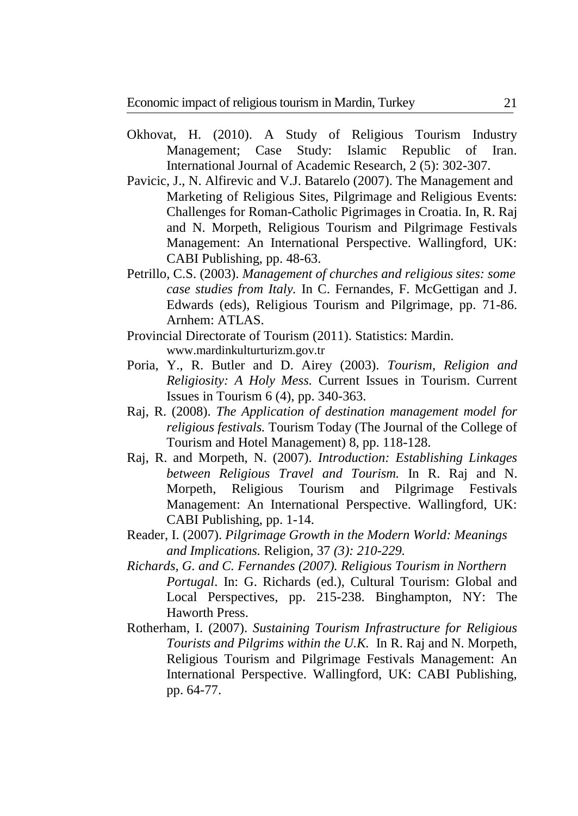- Okhovat, H. (2010). A Study of Religious Tourism Industry Management; Case Study: Islamic Republic of Iran. International Journal of Academic Research, 2 (5): 302-307.
- Pavicic, J., N. Alfirevic and V.J. Batarelo (2007). The Management and Marketing of Religious Sites, Pilgrimage and Religious Events: Challenges for Roman-Catholic Pigrimages in Croatia. In, R. Raj and N. Morpeth, Religious Tourism and Pilgrimage Festivals Management: An International Perspective. Wallingford, UK: CABI Publishing, pp. 48-63.
- Petrillo, C.S. (2003). *Management of churches and religious sites: some case studies from Italy.* In C. Fernandes, F. McGettigan and J. Edwards (eds), Religious Tourism and Pilgrimage, pp. 71-86. Arnhem: ATLAS.
- Provincial Directorate of Tourism (2011). Statistics: Mardin. www.mardinkulturturizm.gov.tr
- Poria, Y., R. Butler and D. Airey (2003). *Tourism, Religion and Religiosity: A Holy Mess.* Current Issues in Tourism. Current Issues in Tourism 6 (4), pp. 340-363.
- Raj, R. (2008). *The Application of destination management model for religious festivals.* Tourism Today (The Journal of the College of Tourism and Hotel Management) 8, pp. 118-128.
- Raj, R. and Morpeth, N. (2007). *Introduction: Establishing Linkages between Religious Travel and Tourism.* In R. Raj and N. Morpeth, Religious Tourism and Pilgrimage Festivals Management: An International Perspective. Wallingford, UK: CABI Publishing, pp. 1-14.
- Reader, I. (2007). *Pilgrimage Growth in the Modern World: Meanings and Implications.* Religion, 37 *(3): 210-229.*
- *Richards, G. and C. Fernandes (2007). Religious Tourism in Northern Portugal*. In: G. Richards (ed.), Cultural Tourism: Global and Local Perspectives, pp. 215-238. Binghampton, NY: The Haworth Press.
- Rotherham, I. (2007). *Sustaining Tourism Infrastructure for Religious Tourists and Pilgrims within the U.K.* In R. Raj and N. Morpeth, Religious Tourism and Pilgrimage Festivals Management: An International Perspective. Wallingford, UK: CABI Publishing, pp. 64-77.